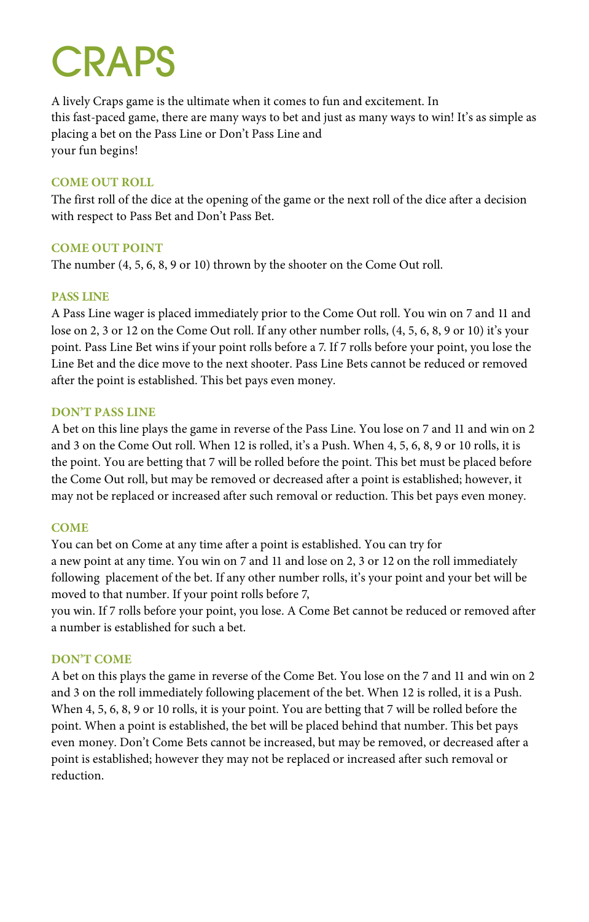# **CRAPS**

A lively Craps game is the ultimate when it comes to fun and excitement. In this fast-paced game, there are many ways to bet and just as many ways to win! It's as simple as placing a bet on the Pass Line or Don't Pass Line and your fun begins!

## **COME OUT ROLL**

The first roll of the dice at the opening of the game or the next roll of the dice after a decision with respect to Pass Bet and Don't Pass Bet.

# **COME OUT POINT**

The number (4, 5, 6, 8, 9 or 10) thrown by the shooter on the Come Out roll.

# **PASS LINE**

A Pass Line wager is placed immediately prior to the Come Out roll. You win on 7 and 11 and lose on 2, 3 or 12 on the Come Out roll. If any other number rolls, (4, 5, 6, 8, 9 or 10) it's your point. Pass Line Bet wins if your point rolls before a 7. If 7 rolls before your point, you lose the Line Bet and the dice move to the next shooter. Pass Line Bets cannot be reduced or removed after the point is established. This bet pays even money.

# **DON'T PASS LINE**

A bet on this line plays the game in reverse of the Pass Line. You lose on 7 and 11 and win on 2 and 3 on the Come Out roll. When 12 is rolled, it's a Push. When 4, 5, 6, 8, 9 or 10 rolls, it is the point. You are betting that 7 will be rolled before the point. This bet must be placed before the Come Out roll, but may be removed or decreased after a point is established; however, it may not be replaced or increased after such removal or reduction. This bet pays even money.

## **COME**

You can bet on Come at any time after a point is established. You can try for a new point at any time. You win on 7 and 11 and lose on 2, 3 or 12 on the roll immediately following placement of the bet. If any other number rolls, it's your point and your bet will be moved to that number. If your point rolls before 7,

you win. If 7 rolls before your point, you lose. A Come Bet cannot be reduced or removed after a number is established for such a bet.

## **DON'T COME**

A bet on this plays the game in reverse of the Come Bet. You lose on the 7 and 11 and win on 2 and 3 on the roll immediately following placement of the bet. When 12 is rolled, it is a Push. When 4, 5, 6, 8, 9 or 10 rolls, it is your point. You are betting that 7 will be rolled before the point. When a point is established, the bet will be placed behind that number. This bet pays even money. Don't Come Bets cannot be increased, but may be removed, or decreased after a point is established; however they may not be replaced or increased after such removal or reduction.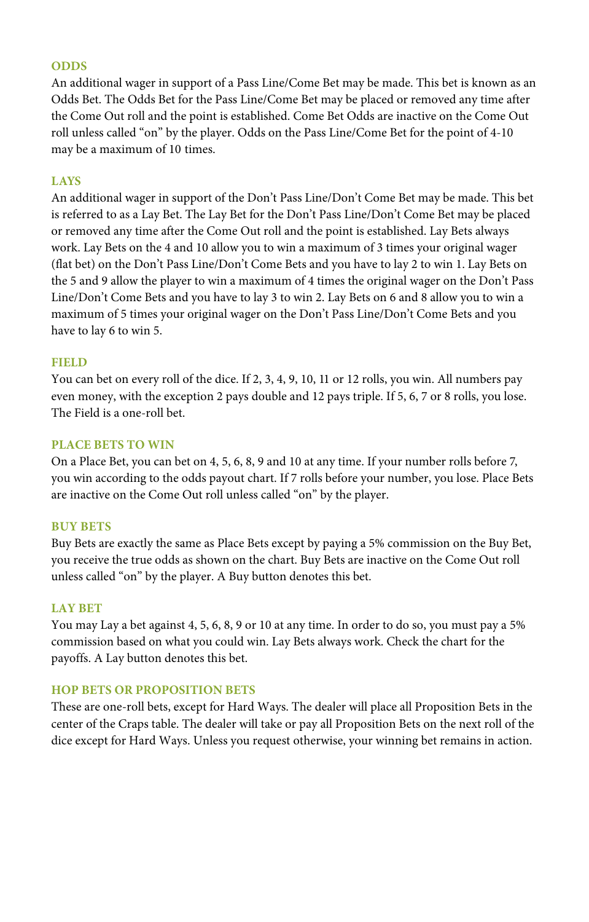#### **ODDS**

An additional wager in support of a Pass Line/Come Bet may be made. This bet is known as an Odds Bet. The Odds Bet for the Pass Line/Come Bet may be placed or removed any time after the Come Out roll and the point is established. Come Bet Odds are inactive on the Come Out roll unless called "on" by the player. Odds on the Pass Line/Come Bet for the point of 4-10 may be a maximum of 10 times.

#### **LAYS**

An additional wager in support of the Don't Pass Line/Don't Come Bet may be made. This bet is referred to as a Lay Bet. The Lay Bet for the Don't Pass Line/Don't Come Bet may be placed or removed any time after the Come Out roll and the point is established. Lay Bets always work. Lay Bets on the 4 and 10 allow you to win a maximum of 3 times your original wager (flat bet) on the Don't Pass Line/Don't Come Bets and you have to lay 2 to win 1. Lay Bets on the 5 and 9 allow the player to win a maximum of 4 times the original wager on the Don't Pass Line/Don't Come Bets and you have to lay 3 to win 2. Lay Bets on 6 and 8 allow you to win a maximum of 5 times your original wager on the Don't Pass Line/Don't Come Bets and you have to lay 6 to win 5.

#### **FIELD**

You can bet on every roll of the dice. If 2, 3, 4, 9, 10, 11 or 12 rolls, you win. All numbers pay even money, with the exception 2 pays double and 12 pays triple. If 5, 6, 7 or 8 rolls, you lose. The Field is a one-roll bet.

#### **PLACE BETS TO WIN**

On a Place Bet, you can bet on 4, 5, 6, 8, 9 and 10 at any time. If your number rolls before 7, you win according to the odds payout chart. If 7 rolls before your number, you lose. Place Bets are inactive on the Come Out roll unless called "on" by the player.

#### **BUY BETS**

Buy Bets are exactly the same as Place Bets except by paying a 5% commission on the Buy Bet, you receive the true odds as shown on the chart. Buy Bets are inactive on the Come Out roll unless called "on" by the player. A Buy button denotes this bet.

#### **LAY BET**

You may Lay a bet against 4, 5, 6, 8, 9 or 10 at any time. In order to do so, you must pay a 5% commission based on what you could win. Lay Bets always work. Check the chart for the payoffs. A Lay button denotes this bet.

#### **HOP BETS OR PROPOSITION BETS**

These are one-roll bets, except for Hard Ways. The dealer will place all Proposition Bets in the center of the Craps table. The dealer will take or pay all Proposition Bets on the next roll of the dice except for Hard Ways. Unless you request otherwise, your winning bet remains in action.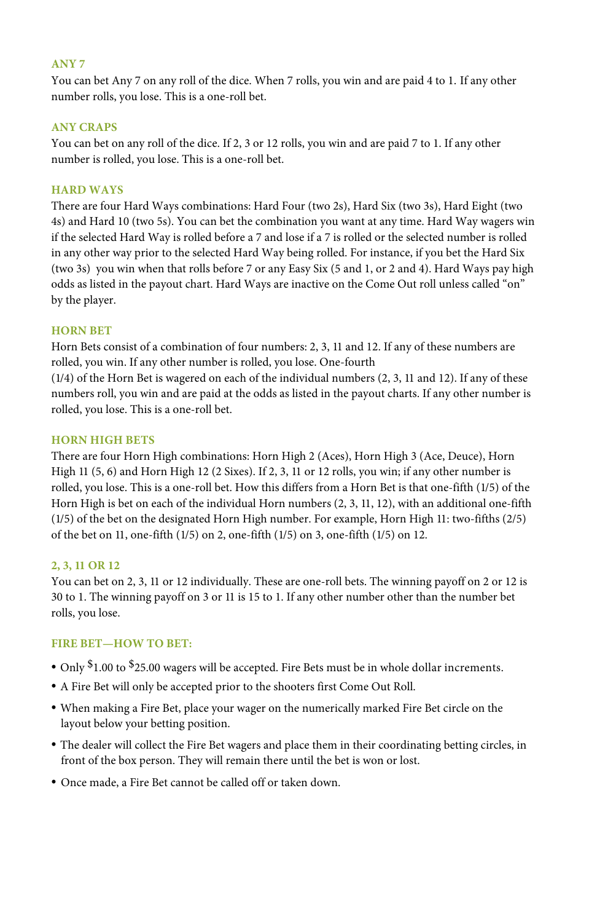#### **ANY 7**

You can bet Any 7 on any roll of the dice. When 7 rolls, you win and are paid 4 to 1. If any other number rolls, you lose. This is a one-roll bet.

#### **ANY CRAPS**

You can bet on any roll of the dice. If 2, 3 or 12 rolls, you win and are paid 7 to 1. If any other number is rolled, you lose. This is a one-roll bet.

#### **HARD WAYS**

There are four Hard Ways combinations: Hard Four (two 2s), Hard Six (two 3s), Hard Eight (two 4s) and Hard 10 (two 5s). You can bet the combination you want at any time. Hard Way wagers win if the selected Hard Way is rolled before a 7 and lose if a 7 is rolled or the selected number is rolled in any other way prior to the selected Hard Way being rolled. For instance, if you bet the Hard Six (two 3s) you win when that rolls before 7 or any Easy Six (5 and 1, or 2 and 4). Hard Ways pay high odds as listed in the payout chart. Hard Ways are inactive on the Come Out roll unless called "on" by the player.

#### **HORN BET**

Horn Bets consist of a combination of four numbers: 2, 3, 11 and 12. If any of these numbers are rolled, you win. If any other number is rolled, you lose. One-fourth

(1/4) of the Horn Bet is wagered on each of the individual numbers (2, 3, 11 and 12). If any of these numbers roll, you win and are paid at the odds as listed in the payout charts. If any other number is rolled, you lose. This is a one-roll bet.

#### **HORN HIGH BETS**

There are four Horn High combinations: Horn High 2 (Aces), Horn High 3 (Ace, Deuce), Horn High 11 (5, 6) and Horn High 12 (2 Sixes). If 2, 3, 11 or 12 rolls, you win; if any other number is rolled, you lose. This is a one-roll bet. How this differs from a Horn Bet is that one-fifth (1/5) of the Horn High is bet on each of the individual Horn numbers (2, 3, 11, 12), with an additional one-fifth (1/5) of the bet on the designated Horn High number. For example, Horn High 11: two-fifths (2/5) of the bet on 11, one-fifth (1/5) on 2, one-fifth (1/5) on 3, one-fifth (1/5) on 12.

#### **2, 3, 11 OR 12**

You can bet on 2, 3, 11 or 12 individually. These are one-roll bets. The winning payoff on 2 or 12 is 30 to 1. The winning payoff on 3 or 11 is 15 to 1. If any other number other than the number bet rolls, you lose.

#### **FIRE BET—HOW TO BET:**

- $\bullet$  Only  $\$1.00$  to  $\$25.00$  wagers will be accepted. Fire Bets must be in whole dollar increments.
- A Fire Bet will only be accepted prior to the shooters first Come Out Roll.
- When making a Fire Bet, place your wager on the numerically marked Fire Bet circle on the layout below your betting position.
- The dealer will collect the Fire Bet wagers and place them in their coordinating betting circles, in front of the box person. They will remain there until the bet is won or lost.
- Once made, a Fire Bet cannot be called off or taken down.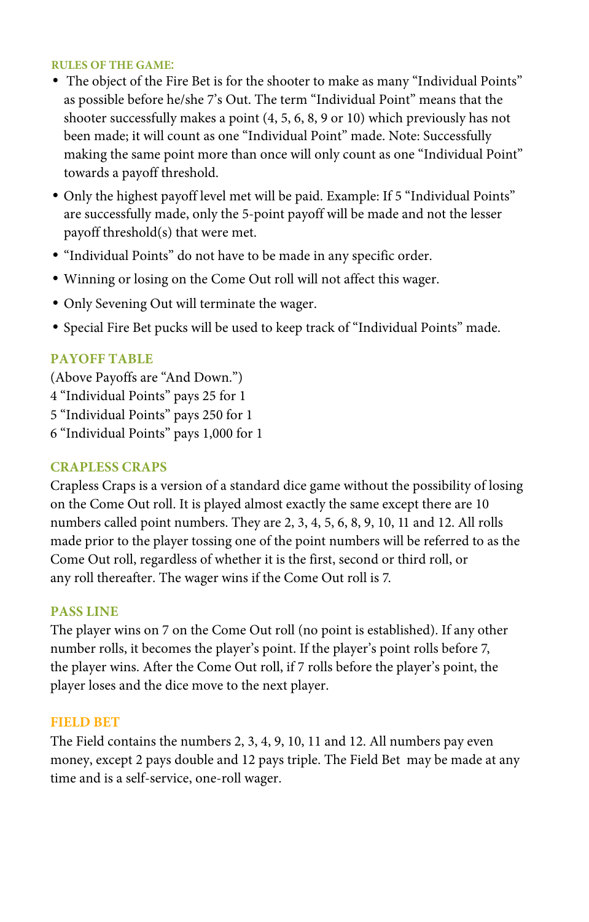## **RULES OF THE GAME**:

- The object of the Fire Bet is for the shooter to make as many "Individual Points" as possible before he/she 7's Out. The term "Individual Point" means that the shooter successfully makes a point (4, 5, 6, 8, 9 or 10) which previously has not been made; it will count as one "Individual Point" made. Note: Successfully making the same point more than once will only count as one "Individual Point" towards a payoff threshold.
- Only the highest payoff level met will be paid. Example: If 5 "Individual Points" are successfully made, only the 5-point payoff will be made and not the lesser payoff threshold(s) that were met.
- "Individual Points" do not have to be made in any specific order.
- Winning or losing on the Come Out roll will not affect this wager.
- Only Sevening Out will terminate the wager.
- Special Fire Bet pucks will be used to keep track of "Individual Points" made.

# **PAYOFF TABLE**

(Above Payoffs are "And Down.") 4 "Individual Points" pays 25 for 1 5 "Individual Points" pays 250 for 1 6 "Individual Points" pays 1,000 for 1

# **CRAPLESS CRAPS**

Crapless Craps is a version of a standard dice game without the possibility of losing on the Come Out roll. It is played almost exactly the same except there are 10 numbers called point numbers. They are 2, 3, 4, 5, 6, 8, 9, 10, 11 and 12. All rolls made prior to the player tossing one of the point numbers will be referred to as the Come Out roll, regardless of whether it is the first, second or third roll, or any roll thereafter. The wager wins if the Come Out roll is 7.

# **PASS LINE**

The player wins on 7 on the Come Out roll (no point is established). If any other number rolls, it becomes the player's point. If the player's point rolls before 7, the player wins. After the Come Out roll, if 7 rolls before the player's point, the player loses and the dice move to the next player.

# **FIELD BET**

The Field contains the numbers 2, 3, 4, 9, 10, 11 and 12. All numbers pay even money, except 2 pays double and 12 pays triple. The Field Bet may be made at any time and is a self-service, one-roll wager.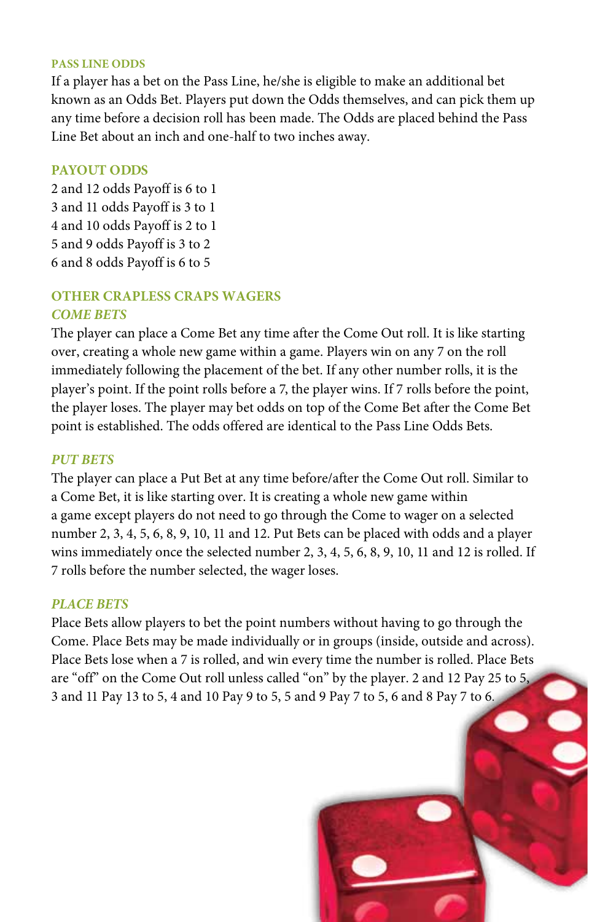## **PASS LINE ODDS**

If a player has a bet on the Pass Line, he/she is eligible to make an additional bet known as an Odds Bet. Players put down the Odds themselves, and can pick them up any time before a decision roll has been made. The Odds are placed behind the Pass Line Bet about an inch and one-half to two inches away.

## **PAYOUT ODDS**

2 and 12 odds Payoff is 6 to 1 3 and 11 odds Payoff is 3 to 1 4 and 10 odds Payoff is 2 to 1 5 and 9 odds Payoff is 3 to 2 6 and 8 odds Payoff is 6 to 5

# **OTHER CRAPLESS CRAPS WAGERS** *COME BETS*

The player can place a Come Bet any time after the Come Out roll. It is like starting over, creating a whole new game within a game. Players win on any 7 on the roll immediately following the placement of the bet. If any other number rolls, it is the player's point. If the point rolls before a 7, the player wins. If 7 rolls before the point, the player loses. The player may bet odds on top of the Come Bet after the Come Bet point is established. The odds offered are identical to the Pass Line Odds Bets.

# *PUT BETS*

The player can place a Put Bet at any time before/after the Come Out roll. Similar to a Come Bet, it is like starting over. It is creating a whole new game within a game except players do not need to go through the Come to wager on a selected number 2, 3, 4, 5, 6, 8, 9, 10, 11 and 12. Put Bets can be placed with odds and a player wins immediately once the selected number 2, 3, 4, 5, 6, 8, 9, 10, 11 and 12 is rolled. If 7 rolls before the number selected, the wager loses.

# *PLACE BETS*

Place Bets allow players to bet the point numbers without having to go through the Come. Place Bets may be made individually or in groups (inside, outside and across). Place Bets lose when a 7 is rolled, and win every time the number is rolled. Place Bets are "off" on the Come Out roll unless called "on" by the player. 2 and 12 Pay 25 to 5, 3 and 11 Pay 13 to 5, 4 and 10 Pay 9 to 5, 5 and 9 Pay 7 to 5, 6 and 8 Pay 7 to 6.